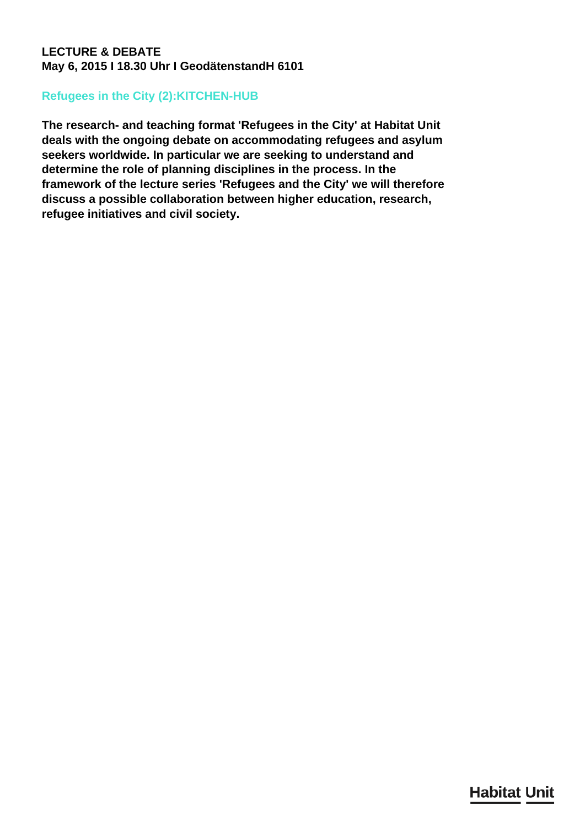## **LECTURE & DEBATE May 6, 2015 I 18.30 Uhr I GeodätenstandH 6101**

## **Refugees in the City (2):KITCHEN-HUB**

**The research- and teaching format 'Refugees in the City' at Habitat Unit deals with the ongoing debate on accommodating refugees and asylum seekers worldwide. In particular we are seeking to understand and determine the role of planning disciplines in the process. In the framework of the lecture series 'Refugees and the City' we will therefore discuss a possible collaboration between higher education, research, refugee initiatives and civil society.**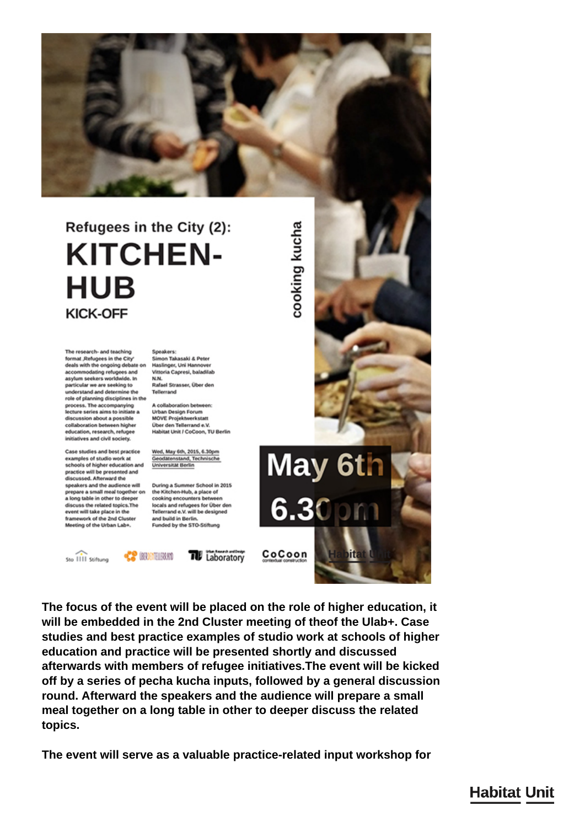

## Refugees in the City (2): **KITCHEN-HUB KICK-OFF**

The research- and teaching format ,Refugees in the City' deals with the ongoing debate on Haslinger, Uni Hannover accommodating refugees and<br>asylum seekers worldwide. In articular we are seeking to understand and determine the role of planning disciplines in the process. The accompanying lecture series aims to initiate a discussion about a possible collaboration between higher education research refunes initiatives and civil society.

Case studies and best practice examples of studio work at<br>schools of higher education and practice will be presented and discussed. Afterward the speakers and the audience will prepare a small meal together on the Kitchen-Hub, a place of a long table in other to deeper discuss the related topics. The event will take place in the framework of the 2nd Cluster<br>Meeting of the Urban Lab+.

Speakers: Simon Takasaki & Peter Vittoria Capresi, baladifab N.N. Rafael Strasser, Über den Tellerrand

A collaboration between: **Urban Design Forum MOVE Projektwerkstatt** Über den Tellerrand e.V. Habitat Unit / CoCoon, TU Berlin

Wed, May 6th, 2015, 6.30pm Geodatenstand, Technische<br>Universität Berlin

During a Summer School in 2015 cooking encounters betw locals and refugees for Über den Tellerrand e.V. will be designed and build in Berlin. Funded by the STO-Stiftung

Sto IIII Stiftung

**CP BOOTHEAM** 

**THE** Laboratory

cooking kucha May 6th  $6.30$  pm

ili -

CoCoon

The focus of the event will be placed on the role of higher education, it will be embedded in the 2nd Cluster meeting of theof the Ulab+. Case studies and best practice examples of studio work at schools of higher education and practice will be presented shortly and discussed afterwards with members of refugee initiatives. The event will be kicked off by a series of pecha kucha inputs, followed by a general discussion round. Afterward the speakers and the audience will prepare a small meal together on a long table in other to deeper discuss the related topics.

The event will serve as a valuable practice-related input workshop for